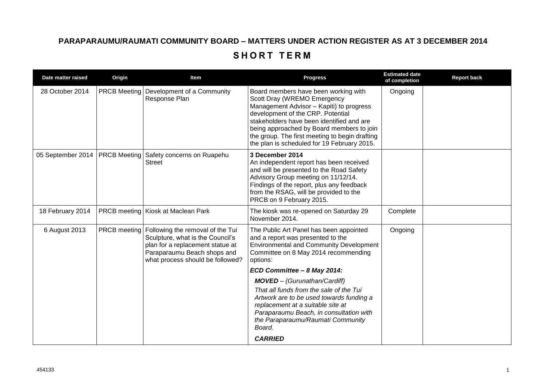## **PARAPARAUMU/RAUMATI COMMUNITY BOARD – MATTERS UNDER ACTION REGISTER AS AT 3 DECEMBER 2014** SHORT TERM

| Date matter raised | Origin              | Item                                                                                                                                                                                       | <b>Progress</b>                                                                                                                                                                                                                                                                                                                                 | <b>Estimated date</b><br>of completion | <b>Report back</b> |
|--------------------|---------------------|--------------------------------------------------------------------------------------------------------------------------------------------------------------------------------------------|-------------------------------------------------------------------------------------------------------------------------------------------------------------------------------------------------------------------------------------------------------------------------------------------------------------------------------------------------|----------------------------------------|--------------------|
| 28 October 2014    | <b>PRCB Meeting</b> | Development of a Community<br>Response Plan                                                                                                                                                | Board members have been working with<br>Scott Dray (WREMO Emergency<br>Management Advisor - Kapiti) to progress<br>development of the CRP. Potential<br>stakeholders have been identified and are<br>being approached by Board members to join<br>the group. The first meeting to begin drafting<br>the plan is scheduled for 19 February 2015. | Ongoing                                |                    |
|                    |                     | 05 September 2014   PRCB Meeting   Safety concerns on Ruapehu<br><b>Street</b>                                                                                                             | 3 December 2014<br>An independent report has been received<br>and will be presented to the Road Safety<br>Advisory Group meeting on 11/12/14.<br>Findings of the report, plus any feedback<br>from the RSAG, will be provided to the<br>PRCB on 9 February 2015.                                                                                |                                        |                    |
| 18 February 2014   |                     | PRCB meeting Kiosk at Maclean Park                                                                                                                                                         | The kiosk was re-opened on Saturday 29<br>November 2014.                                                                                                                                                                                                                                                                                        | Complete                               |                    |
| 6 August 2013      |                     | PRCB meeting   Following the removal of the Tui<br>Sculpture, what is the Council's<br>plan for a replacement statue at<br>Paraparaumu Beach shops and<br>what process should be followed? | The Public Art Panel has been appointed<br>and a report was presented to the<br><b>Environmental and Community Development</b><br>Committee on 8 May 2014 recommending<br>options:                                                                                                                                                              | Ongoing                                |                    |
|                    |                     |                                                                                                                                                                                            | ECD Committee - 8 May 2014:                                                                                                                                                                                                                                                                                                                     |                                        |                    |
|                    |                     |                                                                                                                                                                                            | <b>MOVED</b> - (Gurunathan/Cardiff)                                                                                                                                                                                                                                                                                                             |                                        |                    |
|                    |                     |                                                                                                                                                                                            | That all funds from the sale of the Tui<br>Artwork are to be used towards funding a<br>replacement at a suitable site at<br>Paraparaumu Beach, in consultation with<br>the Paraparaumu/Raumati Community<br>Board.                                                                                                                              |                                        |                    |
|                    |                     |                                                                                                                                                                                            | <b>CARRIED</b>                                                                                                                                                                                                                                                                                                                                  |                                        |                    |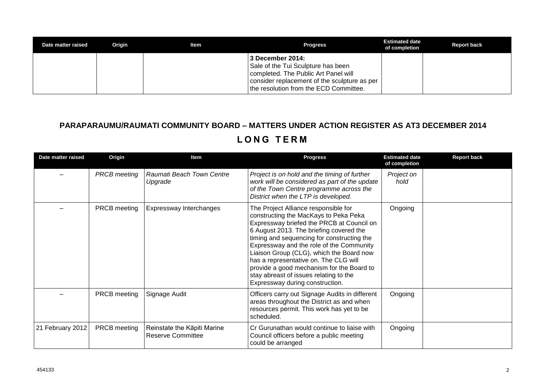| Date matter raised | Origin | ltem | <b>Progress</b>                                                                                                                                                                          | <b>Estimated date</b><br>of completion | <b>Report back</b> |
|--------------------|--------|------|------------------------------------------------------------------------------------------------------------------------------------------------------------------------------------------|----------------------------------------|--------------------|
|                    |        |      | 3 December 2014:<br>Sale of the Tui Sculpture has been<br>completed. The Public Art Panel will<br>consider replacement of the sculpture as per<br>the resolution from the ECD Committee. |                                        |                    |

## **PARAPARAUMU/RAUMATI COMMUNITY BOARD – MATTERS UNDER ACTION REGISTER AS AT3 DECEMBER 2014 L O N G T E R M**

| Date matter raised | Origin              | Item                                                    | <b>Progress</b>                                                                                                                                                                                                                                                                                                                                                                                                                                                                | <b>Estimated date</b><br>of completion | <b>Report back</b> |
|--------------------|---------------------|---------------------------------------------------------|--------------------------------------------------------------------------------------------------------------------------------------------------------------------------------------------------------------------------------------------------------------------------------------------------------------------------------------------------------------------------------------------------------------------------------------------------------------------------------|----------------------------------------|--------------------|
|                    | <b>PRCB</b> meeting | Raumati Beach Town Centre<br>Upgrade                    | Project is on hold and the timing of further<br>work will be considered as part of the update<br>of the Town Centre programme across the<br>District when the LTP is developed.                                                                                                                                                                                                                                                                                                | Project on<br>hold                     |                    |
|                    | PRCB meeting        | Expressway Interchanges                                 | The Project Alliance responsible for<br>constructing the MacKays to Peka Peka<br>Expressway briefed the PRCB at Council on<br>6 August 2013. The briefing covered the<br>timing and sequencing for constructing the<br>Expressway and the role of the Community<br>Liaison Group (CLG), which the Board now<br>has a representative on. The CLG will<br>provide a good mechanism for the Board to<br>stay abreast of issues relating to the<br>Expressway during construction. | Ongoing                                |                    |
|                    | <b>PRCB</b> meeting | Signage Audit                                           | Officers carry out Signage Audits in different<br>areas throughout the District as and when<br>resources permit. This work has yet to be<br>scheduled.                                                                                                                                                                                                                                                                                                                         | Ongoing                                |                    |
| 21 February 2012   | <b>PRCB</b> meeting | Reinstate the Kāpiti Marine<br><b>Reserve Committee</b> | Cr Gurunathan would continue to liaise with<br>Council officers before a public meeting<br>could be arranged                                                                                                                                                                                                                                                                                                                                                                   | Ongoing                                |                    |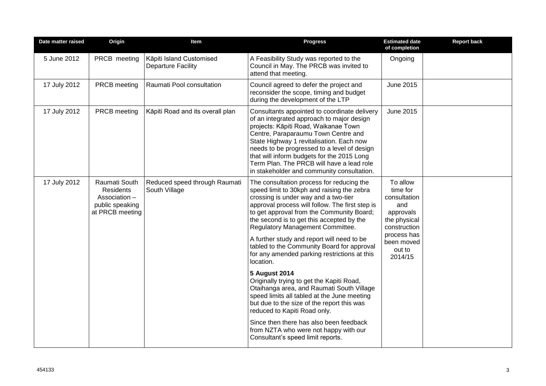| Date matter raised | Origin                                                                                   | Item                                                  | <b>Progress</b>                                                                                                                                                                                                                                                                                                                                                                                                                                                                                                                                                                                                                                                                                                                                                                                                                                   | <b>Estimated date</b><br>of completion                                                                                                     | <b>Report back</b> |
|--------------------|------------------------------------------------------------------------------------------|-------------------------------------------------------|---------------------------------------------------------------------------------------------------------------------------------------------------------------------------------------------------------------------------------------------------------------------------------------------------------------------------------------------------------------------------------------------------------------------------------------------------------------------------------------------------------------------------------------------------------------------------------------------------------------------------------------------------------------------------------------------------------------------------------------------------------------------------------------------------------------------------------------------------|--------------------------------------------------------------------------------------------------------------------------------------------|--------------------|
| 5 June 2012        | PRCB meeting                                                                             | Kāpiti Island Customised<br><b>Departure Facility</b> | A Feasibility Study was reported to the<br>Council in May. The PRCB was invited to<br>attend that meeting.                                                                                                                                                                                                                                                                                                                                                                                                                                                                                                                                                                                                                                                                                                                                        | Ongoing                                                                                                                                    |                    |
| 17 July 2012       | PRCB meeting                                                                             | Raumati Pool consultation                             | Council agreed to defer the project and<br>reconsider the scope, timing and budget<br>during the development of the LTP                                                                                                                                                                                                                                                                                                                                                                                                                                                                                                                                                                                                                                                                                                                           | June 2015                                                                                                                                  |                    |
| 17 July 2012       | PRCB meeting                                                                             | Kāpiti Road and its overall plan                      | Consultants appointed to coordinate delivery<br>of an integrated approach to major design<br>projects: Kāpiti Road, Waikanae Town<br>Centre, Paraparaumu Town Centre and<br>State Highway 1 revitalisation. Each now<br>needs to be progressed to a level of design<br>that will inform budgets for the 2015 Long<br>Term Plan. The PRCB will have a lead role<br>in stakeholder and community consultation.                                                                                                                                                                                                                                                                                                                                                                                                                                      | June 2015                                                                                                                                  |                    |
| 17 July 2012       | Raumati South<br><b>Residents</b><br>Association -<br>public speaking<br>at PRCB meeting | Reduced speed through Raumati<br>South Village        | The consultation process for reducing the<br>speed limit to 30kph and raising the zebra<br>crossing is under way and a two-tier<br>approval process will follow. The first step is<br>to get approval from the Community Board;<br>the second is to get this accepted by the<br>Regulatory Management Committee.<br>A further study and report will need to be<br>tabled to the Community Board for approval<br>for any amended parking restrictions at this<br>location.<br><b>5 August 2014</b><br>Originally trying to get the Kapiti Road,<br>Otaihanga area, and Raumati South Village<br>speed limits all tabled at the June meeting<br>but due to the size of the report this was<br>reduced to Kapiti Road only.<br>Since then there has also been feedback<br>from NZTA who were not happy with our<br>Consultant's speed limit reports. | To allow<br>time for<br>consultation<br>and<br>approvals<br>the physical<br>construction<br>process has<br>been moved<br>out to<br>2014/15 |                    |